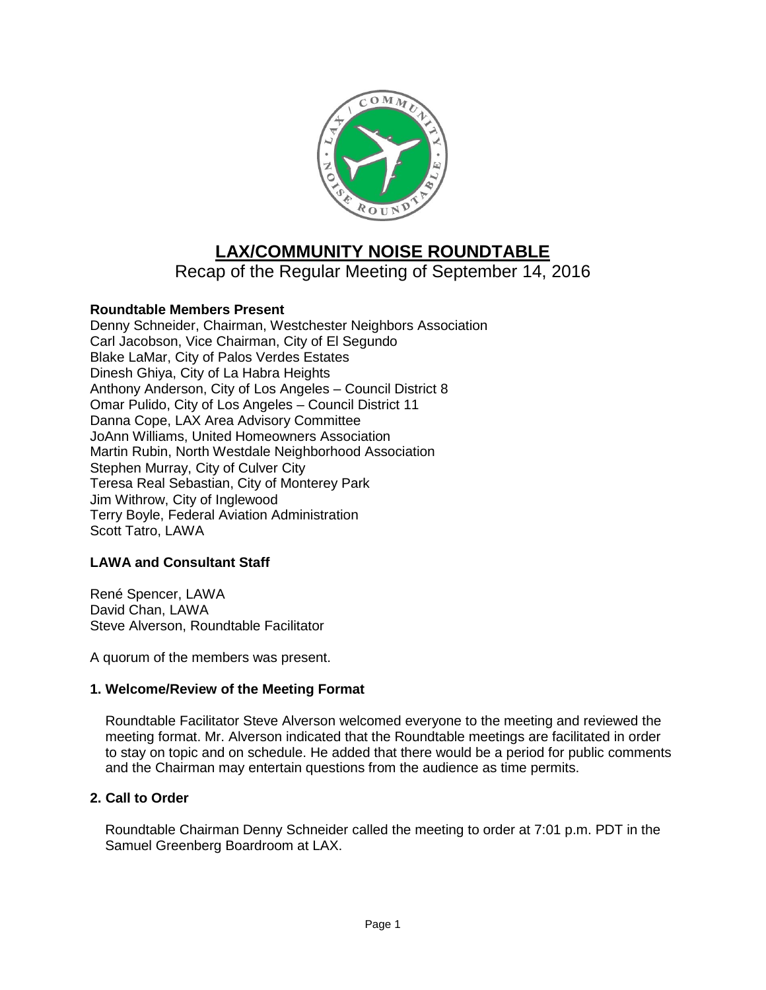

# **LAX/COMMUNITY NOISE ROUNDTABLE**

Recap of the Regular Meeting of September 14, 2016

# **Roundtable Members Present**

Denny Schneider, Chairman, Westchester Neighbors Association Carl Jacobson, Vice Chairman, City of El Segundo Blake LaMar, City of Palos Verdes Estates Dinesh Ghiya, City of La Habra Heights Anthony Anderson, City of Los Angeles – Council District 8 Omar Pulido, City of Los Angeles – Council District 11 Danna Cope, LAX Area Advisory Committee JoAnn Williams, United Homeowners Association Martin Rubin, North Westdale Neighborhood Association Stephen Murray, City of Culver City Teresa Real Sebastian, City of Monterey Park Jim Withrow, City of Inglewood Terry Boyle, Federal Aviation Administration Scott Tatro, LAWA

# **LAWA and Consultant Staff**

René Spencer, LAWA David Chan, LAWA Steve Alverson, Roundtable Facilitator

A quorum of the members was present.

### **1. Welcome/Review of the Meeting Format**

Roundtable Facilitator Steve Alverson welcomed everyone to the meeting and reviewed the meeting format. Mr. Alverson indicated that the Roundtable meetings are facilitated in order to stay on topic and on schedule. He added that there would be a period for public comments and the Chairman may entertain questions from the audience as time permits.

### **2. Call to Order**

Roundtable Chairman Denny Schneider called the meeting to order at 7:01 p.m. PDT in the Samuel Greenberg Boardroom at LAX.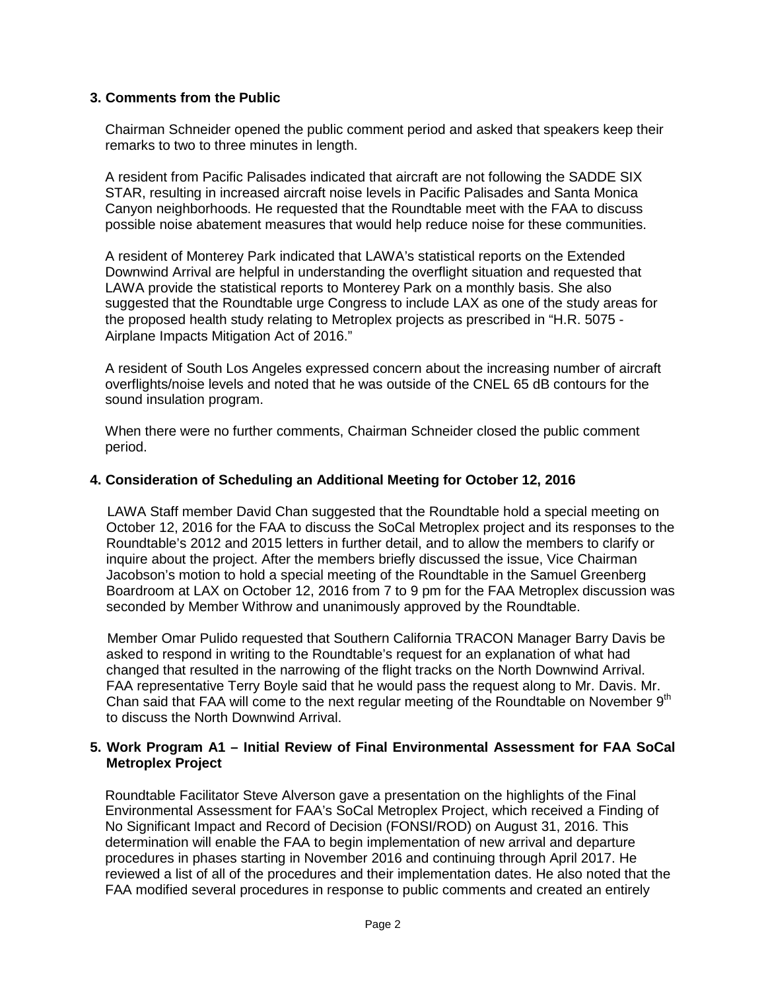## **3. Comments from the Public**

Chairman Schneider opened the public comment period and asked that speakers keep their remarks to two to three minutes in length.

A resident from Pacific Palisades indicated that aircraft are not following the SADDE SIX STAR, resulting in increased aircraft noise levels in Pacific Palisades and Santa Monica Canyon neighborhoods. He requested that the Roundtable meet with the FAA to discuss possible noise abatement measures that would help reduce noise for these communities.

A resident of Monterey Park indicated that LAWA's statistical reports on the Extended Downwind Arrival are helpful in understanding the overflight situation and requested that LAWA provide the statistical reports to Monterey Park on a monthly basis. She also suggested that the Roundtable urge Congress to include LAX as one of the study areas for the proposed health study relating to Metroplex projects as prescribed in "H.R. 5075 - Airplane Impacts Mitigation Act of 2016."

A resident of South Los Angeles expressed concern about the increasing number of aircraft overflights/noise levels and noted that he was outside of the CNEL 65 dB contours for the sound insulation program.

When there were no further comments, Chairman Schneider closed the public comment period.

### **4. Consideration of Scheduling an Additional Meeting for October 12, 2016**

LAWA Staff member David Chan suggested that the Roundtable hold a special meeting on October 12, 2016 for the FAA to discuss the SoCal Metroplex project and its responses to the Roundtable's 2012 and 2015 letters in further detail, and to allow the members to clarify or inquire about the project. After the members briefly discussed the issue, Vice Chairman Jacobson's motion to hold a special meeting of the Roundtable in the Samuel Greenberg Boardroom at LAX on October 12, 2016 from 7 to 9 pm for the FAA Metroplex discussion was seconded by Member Withrow and unanimously approved by the Roundtable.

Member Omar Pulido requested that Southern California TRACON Manager Barry Davis be asked to respond in writing to the Roundtable's request for an explanation of what had changed that resulted in the narrowing of the flight tracks on the North Downwind Arrival. FAA representative Terry Boyle said that he would pass the request along to Mr. Davis. Mr. Chan said that FAA will come to the next regular meeting of the Roundtable on November  $9<sup>th</sup>$ to discuss the North Downwind Arrival.

### **5. Work Program A1 – Initial Review of Final Environmental Assessment for FAA SoCal Metroplex Project**

Roundtable Facilitator Steve Alverson gave a presentation on the highlights of the Final Environmental Assessment for FAA's SoCal Metroplex Project, which received a Finding of No Significant Impact and Record of Decision (FONSI/ROD) on August 31, 2016. This determination will enable the FAA to begin implementation of new arrival and departure procedures in phases starting in November 2016 and continuing through April 2017. He reviewed a list of all of the procedures and their implementation dates. He also noted that the FAA modified several procedures in response to public comments and created an entirely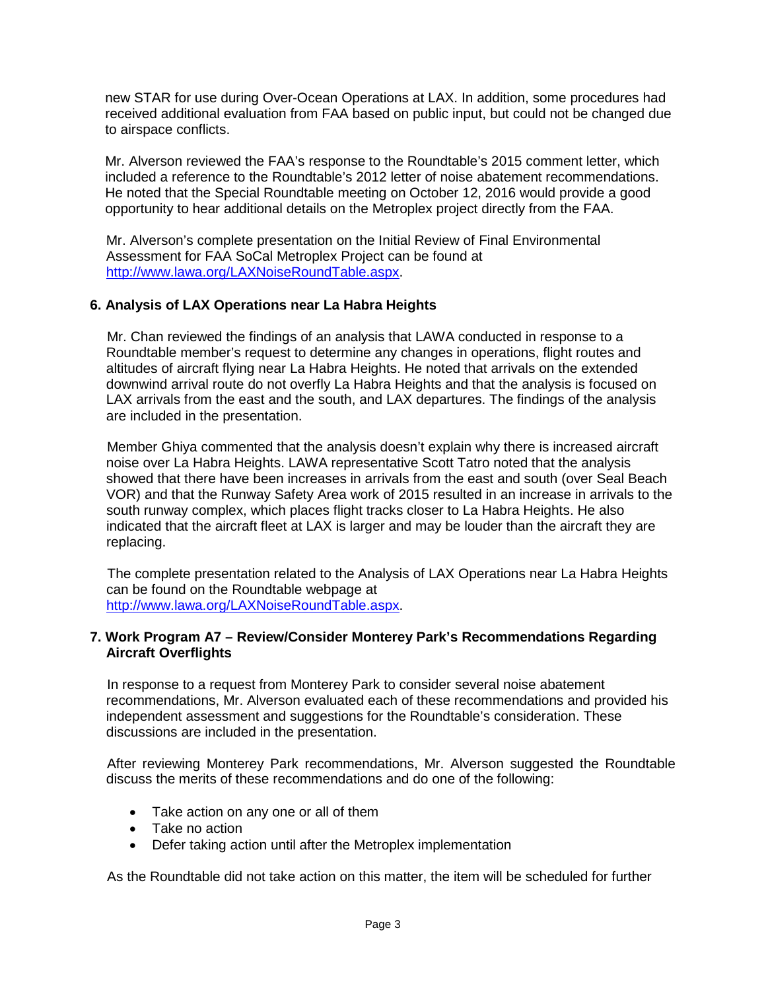new STAR for use during Over-Ocean Operations at LAX. In addition, some procedures had received additional evaluation from FAA based on public input, but could not be changed due to airspace conflicts.

Mr. Alverson reviewed the FAA's response to the Roundtable's 2015 comment letter, which included a reference to the Roundtable's 2012 letter of noise abatement recommendations. He noted that the Special Roundtable meeting on October 12, 2016 would provide a good opportunity to hear additional details on the Metroplex project directly from the FAA.

Mr. Alverson's complete presentation on the Initial Review of Final Environmental Assessment for FAA SoCal Metroplex Project can be found at [http://www.lawa.org/LAXNoiseRoundTable.aspx.](http://www.lawa.org/LAXNoiseRoundTable.aspx)

# **6. Analysis of LAX Operations near La Habra Heights**

Mr. Chan reviewed the findings of an analysis that LAWA conducted in response to a Roundtable member's request to determine any changes in operations, flight routes and altitudes of aircraft flying near La Habra Heights. He noted that arrivals on the extended downwind arrival route do not overfly La Habra Heights and that the analysis is focused on LAX arrivals from the east and the south, and LAX departures. The findings of the analysis are included in the presentation.

Member Ghiya commented that the analysis doesn't explain why there is increased aircraft noise over La Habra Heights. LAWA representative Scott Tatro noted that the analysis showed that there have been increases in arrivals from the east and south (over Seal Beach VOR) and that the Runway Safety Area work of 2015 resulted in an increase in arrivals to the south runway complex, which places flight tracks closer to La Habra Heights. He also indicated that the aircraft fleet at LAX is larger and may be louder than the aircraft they are replacing.

The complete presentation related to the Analysis of LAX Operations near La Habra Heights can be found on the Roundtable webpage at [http://www.lawa.org/LAXNoiseRoundTable.aspx.](http://www.lawa.org/LAXNoiseRoundTable.aspx)

## **7. Work Program A7 – Review/Consider Monterey Park's Recommendations Regarding Aircraft Overflights**

In response to a request from Monterey Park to consider several noise abatement recommendations, Mr. Alverson evaluated each of these recommendations and provided his independent assessment and suggestions for the Roundtable's consideration. These discussions are included in the presentation.

After reviewing Monterey Park recommendations, Mr. Alverson suggested the Roundtable discuss the merits of these recommendations and do one of the following:

- Take action on any one or all of them
- Take no action
- Defer taking action until after the Metroplex implementation

As the Roundtable did not take action on this matter, the item will be scheduled for further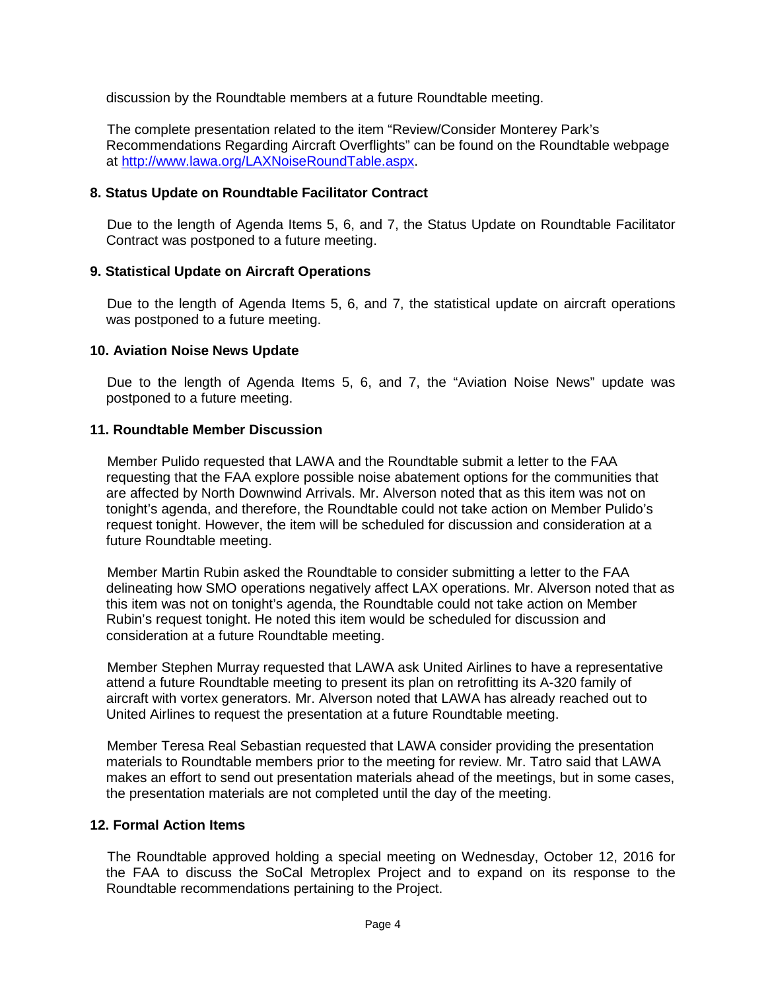discussion by the Roundtable members at a future Roundtable meeting.

The complete presentation related to the item "Review/Consider Monterey Park's Recommendations Regarding Aircraft Overflights" can be found on the Roundtable webpage at [http://www.lawa.org/LAXNoiseRoundTable.aspx.](http://www.lawa.org/LAXNoiseRoundTable.aspx)

## **8. Status Update on Roundtable Facilitator Contract**

Due to the length of Agenda Items 5, 6, and 7, the Status Update on Roundtable Facilitator Contract was postponed to a future meeting.

## **9. Statistical Update on Aircraft Operations**

Due to the length of Agenda Items 5, 6, and 7, the statistical update on aircraft operations was postponed to a future meeting.

### **10. Aviation Noise News Update**

Due to the length of Agenda Items 5, 6, and 7, the "Aviation Noise News" update was postponed to a future meeting.

## **11. Roundtable Member Discussion**

Member Pulido requested that LAWA and the Roundtable submit a letter to the FAA requesting that the FAA explore possible noise abatement options for the communities that are affected by North Downwind Arrivals. Mr. Alverson noted that as this item was not on tonight's agenda, and therefore, the Roundtable could not take action on Member Pulido's request tonight. However, the item will be scheduled for discussion and consideration at a future Roundtable meeting.

Member Martin Rubin asked the Roundtable to consider submitting a letter to the FAA delineating how SMO operations negatively affect LAX operations. Mr. Alverson noted that as this item was not on tonight's agenda, the Roundtable could not take action on Member Rubin's request tonight. He noted this item would be scheduled for discussion and consideration at a future Roundtable meeting.

Member Stephen Murray requested that LAWA ask United Airlines to have a representative attend a future Roundtable meeting to present its plan on retrofitting its A-320 family of aircraft with vortex generators. Mr. Alverson noted that LAWA has already reached out to United Airlines to request the presentation at a future Roundtable meeting.

Member Teresa Real Sebastian requested that LAWA consider providing the presentation materials to Roundtable members prior to the meeting for review. Mr. Tatro said that LAWA makes an effort to send out presentation materials ahead of the meetings, but in some cases, the presentation materials are not completed until the day of the meeting.

## **12. Formal Action Items**

The Roundtable approved holding a special meeting on Wednesday, October 12, 2016 for the FAA to discuss the SoCal Metroplex Project and to expand on its response to the Roundtable recommendations pertaining to the Project.